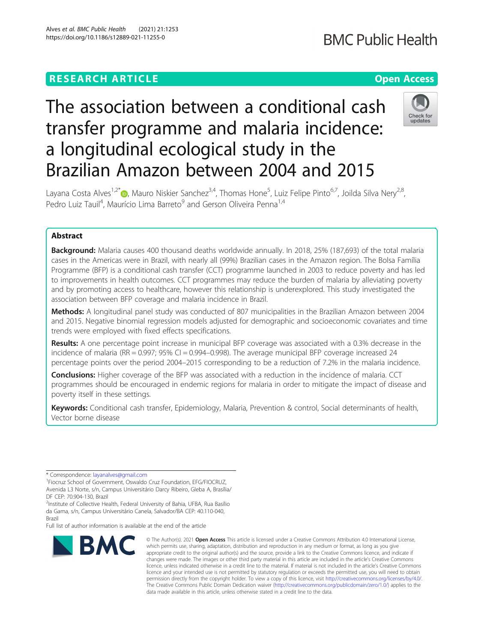# **RESEARCH ARTICLE Example 2014 12:30 The Contract of Contract ACCESS** The association between a conditional cash

a longitudinal ecological study in the

# Layana Costa Alves<sup>1,2[\\*](http://orcid.org/0000-0003-3512-7872)</sup>®, Mauro Niskier Sanchez<sup>3,4</sup>, Thomas Hone<sup>5</sup>, Luiz Felipe Pinto<sup>6,7</sup>, Joilda Silva Nery<sup>2,8</sup>, Pedro Luiz Tauil<sup>4</sup>, Maurício Lima Barreto<sup>9</sup> and Gerson Oliveira Penna<sup>1,4</sup>

transfer programme and malaria incidence:

Brazilian Amazon between 2004 and 2015

# Abstract

Alves et al. BMC Public Health (2021) 21:1253 https://doi.org/10.1186/s12889-021-11255-0

**Background:** Malaria causes 400 thousand deaths worldwide annually. In 2018, 25% (187,693) of the total malaria cases in the Americas were in Brazil, with nearly all (99%) Brazilian cases in the Amazon region. The Bolsa Família Programme (BFP) is a conditional cash transfer (CCT) programme launched in 2003 to reduce poverty and has led to improvements in health outcomes. CCT programmes may reduce the burden of malaria by alleviating poverty and by promoting access to healthcare, however this relationship is underexplored. This study investigated the association between BFP coverage and malaria incidence in Brazil.

Methods: A longitudinal panel study was conducted of 807 municipalities in the Brazilian Amazon between 2004 and 2015. Negative binomial regression models adjusted for demographic and socioeconomic covariates and time trends were employed with fixed effects specifications.

Results: A one percentage point increase in municipal BFP coverage was associated with a 0.3% decrease in the incidence of malaria (RR = 0.997; 95% CI = 0.994–0.998). The average municipal BFP coverage increased 24 percentage points over the period 2004–2015 corresponding to be a reduction of 7.2% in the malaria incidence.

**Conclusions:** Higher coverage of the BFP was associated with a reduction in the incidence of malaria. CCT programmes should be encouraged in endemic regions for malaria in order to mitigate the impact of disease and poverty itself in these settings.

Keywords: Conditional cash transfer, Epidemiology, Malaria, Prevention & control, Social determinants of health, Vector borne disease

\* Correspondence: [layanalves@gmail.com](mailto:layanalves@gmail.com) <sup>1</sup>

Fiocruz School of Government, Oswaldo Cruz Foundation, EFG/FIOCRUZ, Avenida L3 Norte, s/n, Campus Universitário Darcy Ribeiro, Gleba A, Brasília/ DF CEP: 70.904-130, Brazil

<sup>2</sup>Institute of Collective Health, Federal University of Bahia, UFBA, Rua Basílio da Gama, s/n, Campus Universitário Canela, Salvador/BA CEP: 40.110-040, Brazil

Full list of author information is available at the end of the article

#### © The Author(s), 2021 **Open Access** This article is licensed under a Creative Commons Attribution 4.0 International License, which permits use, sharing, adaptation, distribution and reproduction in any medium or format, as long as you give appropriate credit to the original author(s) and the source, provide a link to the Creative Commons licence, and indicate if changes were made. The images or other third party material in this article are included in the article's Creative Commons licence, unless indicated otherwise in a credit line to the material. If material is not included in the article's Creative Commons licence and your intended use is not permitted by statutory regulation or exceeds the permitted use, you will need to obtain permission directly from the copyright holder. To view a copy of this licence, visit [http://creativecommons.org/licenses/by/4.0/.](http://creativecommons.org/licenses/by/4.0/) The Creative Commons Public Domain Dedication waiver [\(http://creativecommons.org/publicdomain/zero/1.0/](http://creativecommons.org/publicdomain/zero/1.0/)) applies to the

data made available in this article, unless otherwise stated in a credit line to the data.

# **BMC Public Health**

Check for undates



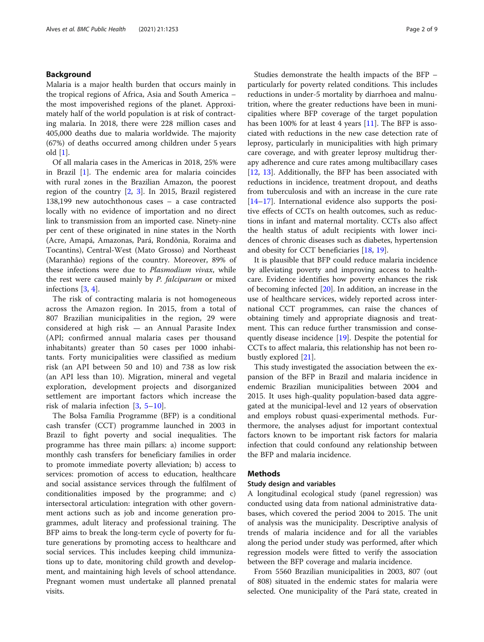# Background

Malaria is a major health burden that occurs mainly in the tropical regions of Africa, Asia and South America – the most impoverished regions of the planet. Approximately half of the world population is at risk of contracting malaria. In 2018, there were 228 million cases and 405,000 deaths due to malaria worldwide. The majority (67%) of deaths occurred among children under 5 years old [[1\]](#page-7-0).

Of all malaria cases in the Americas in 2018, 25% were in Brazil [[1\]](#page-7-0). The endemic area for malaria coincides with rural zones in the Brazilian Amazon, the poorest region of the country [\[2](#page-7-0), [3](#page-7-0)]. In 2015, Brazil registered 138,199 new autochthonous cases – a case contracted locally with no evidence of importation and no direct link to transmission from an imported case. Ninety-nine per cent of these originated in nine states in the North (Acre, Amapá, Amazonas, Pará, Rondônia, Roraima and Tocantins), Central-West (Mato Grosso) and Northeast (Maranhão) regions of the country. Moreover, 89% of these infections were due to Plasmodium vivax, while the rest were caused mainly by P. falciparum or mixed infections [[3](#page-7-0), [4](#page-7-0)].

The risk of contracting malaria is not homogeneous across the Amazon region. In 2015, from a total of 807 Brazilian municipalities in the region, 29 were considered at high risk — an Annual Parasite Index (API; confirmed annual malaria cases per thousand inhabitants) greater than 50 cases per 1000 inhabitants. Forty municipalities were classified as medium risk (an API between 50 and 10) and 738 as low risk (an API less than 10). Migration, mineral and vegetal exploration, development projects and disorganized settlement are important factors which increase the risk of malaria infection [[3,](#page-7-0) [5](#page-7-0)–[10\]](#page-7-0).

The Bolsa Família Programme (BFP) is a conditional cash transfer (CCT) programme launched in 2003 in Brazil to fight poverty and social inequalities. The programme has three main pillars: a) income support: monthly cash transfers for beneficiary families in order to promote immediate poverty alleviation; b) access to services: promotion of access to education, healthcare and social assistance services through the fulfilment of conditionalities imposed by the programme; and c) intersectoral articulation: integration with other government actions such as job and income generation programmes, adult literacy and professional training. The BFP aims to break the long-term cycle of poverty for future generations by promoting access to healthcare and social services. This includes keeping child immunizations up to date, monitoring child growth and development, and maintaining high levels of school attendance. Pregnant women must undertake all planned prenatal visits.

Studies demonstrate the health impacts of the BFP – particularly for poverty related conditions. This includes reductions in under-5 mortality by diarrhoea and malnutrition, where the greater reductions have been in municipalities where BFP coverage of the target population has been 100% for at least 4 years  $[11]$  $[11]$ . The BFP is associated with reductions in the new case detection rate of leprosy, particularly in municipalities with high primary care coverage, and with greater leprosy multidrug therapy adherence and cure rates among multibacillary cases [[12,](#page-7-0) [13](#page-8-0)]. Additionally, the BFP has been associated with reductions in incidence, treatment dropout, and deaths from tuberculosis and with an increase in the cure rate [[14](#page-8-0)–[17](#page-8-0)]. International evidence also supports the positive effects of CCTs on health outcomes, such as reductions in infant and maternal mortality. CCTs also affect the health status of adult recipients with lower incidences of chronic diseases such as diabetes, hypertension and obesity for CCT beneficiaries [\[18,](#page-8-0) [19\]](#page-8-0).

It is plausible that BFP could reduce malaria incidence by alleviating poverty and improving access to healthcare. Evidence identifies how poverty enhances the risk of becoming infected [\[20\]](#page-8-0). In addition, an increase in the use of healthcare services, widely reported across international CCT programmes, can raise the chances of obtaining timely and appropriate diagnosis and treatment. This can reduce further transmission and consequently disease incidence [\[19\]](#page-8-0). Despite the potential for CCTs to affect malaria, this relationship has not been robustly explored [\[21](#page-8-0)].

This study investigated the association between the expansion of the BFP in Brazil and malaria incidence in endemic Brazilian municipalities between 2004 and 2015. It uses high-quality population-based data aggregated at the municipal-level and 12 years of observation and employs robust quasi-experimental methods. Furthermore, the analyses adjust for important contextual factors known to be important risk factors for malaria infection that could confound any relationship between the BFP and malaria incidence.

# **Methods**

# Study design and variables

A longitudinal ecological study (panel regression) was conducted using data from national administrative databases, which covered the period 2004 to 2015. The unit of analysis was the municipality. Descriptive analysis of trends of malaria incidence and for all the variables along the period under study was performed, after which regression models were fitted to verify the association between the BFP coverage and malaria incidence.

From 5560 Brazilian municipalities in 2003, 807 (out of 808) situated in the endemic states for malaria were selected. One municipality of the Pará state, created in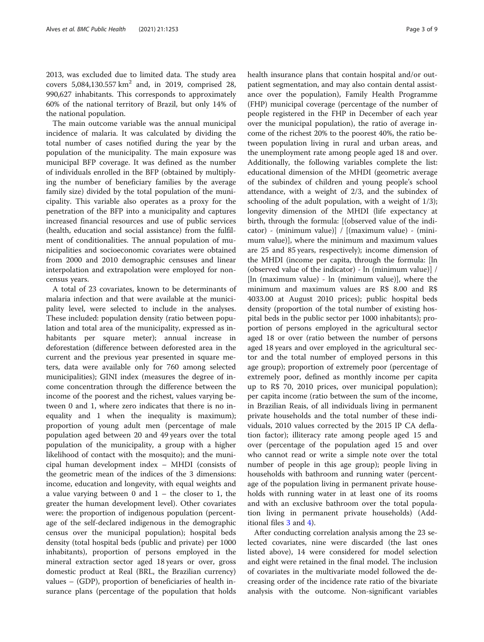2013, was excluded due to limited data. The study area covers  $5,084,130.557 \text{ km}^2$  and, in 2019, comprised 28, 990,627 inhabitants. This corresponds to approximately 60% of the national territory of Brazil, but only 14% of the national population.

The main outcome variable was the annual municipal incidence of malaria. It was calculated by dividing the total number of cases notified during the year by the population of the municipality. The main exposure was municipal BFP coverage. It was defined as the number of individuals enrolled in the BFP (obtained by multiplying the number of beneficiary families by the average family size) divided by the total population of the municipality. This variable also operates as a proxy for the penetration of the BFP into a municipality and captures increased financial resources and use of public services (health, education and social assistance) from the fulfilment of conditionalities. The annual population of municipalities and socioeconomic covariates were obtained from 2000 and 2010 demographic censuses and linear interpolation and extrapolation were employed for noncensus years.

A total of 23 covariates, known to be determinants of malaria infection and that were available at the municipality level, were selected to include in the analyses. These included: population density (ratio between population and total area of the municipality, expressed as inhabitants per square meter); annual increase in deforestation (difference between deforested area in the current and the previous year presented in square meters, data were available only for 760 among selected municipalities); GINI index (measures the degree of income concentration through the difference between the income of the poorest and the richest, values varying between 0 and 1, where zero indicates that there is no inequality and 1 when the inequality is maximum); proportion of young adult men (percentage of male population aged between 20 and 49 years over the total population of the municipality, a group with a higher likelihood of contact with the mosquito); and the municipal human development index – MHDI (consists of the geometric mean of the indices of the 3 dimensions: income, education and longevity, with equal weights and a value varying between 0 and  $1 -$  the closer to 1, the greater the human development level). Other covariates were: the proportion of indigenous population (percentage of the self-declared indigenous in the demographic census over the municipal population); hospital beds density (total hospital beds (public and private) per 1000 inhabitants), proportion of persons employed in the mineral extraction sector aged 18 years or over, gross domestic product at Real (BRL, the Brazilian currency) values – (GDP), proportion of beneficiaries of health insurance plans (percentage of the population that holds health insurance plans that contain hospital and/or outpatient segmentation, and may also contain dental assistance over the population), Family Health Programme (FHP) municipal coverage (percentage of the number of people registered in the FHP in December of each year over the municipal population), the ratio of average income of the richest 20% to the poorest 40%, the ratio between population living in rural and urban areas, and the unemployment rate among people aged 18 and over. Additionally, the following variables complete the list: educational dimension of the MHDI (geometric average of the subindex of children and young people's school attendance, with a weight of 2/3, and the subindex of schooling of the adult population, with a weight of 1/3); longevity dimension of the MHDI (life expectancy at birth, through the formula: [(observed value of the indicator) - (minimum value)] / [(maximum value) - (minimum value)], where the minimum and maximum values are 25 and 85 years, respectively); income dimension of the MHDI (income per capita, through the formula: [ln (observed value of the indicator) - ln (minimum value)] / [ln (maximum value) - ln (minimum value)], where the minimum and maximum values are R\$ 8.00 and R\$ 4033.00 at August 2010 prices); public hospital beds density (proportion of the total number of existing hospital beds in the public sector per 1000 inhabitants); proportion of persons employed in the agricultural sector aged 18 or over (ratio between the number of persons aged 18 years and over employed in the agricultural sector and the total number of employed persons in this age group); proportion of extremely poor (percentage of extremely poor, defined as monthly income per capita up to R\$ 70, 2010 prices, over municipal population); per capita income (ratio between the sum of the income, in Brazilian Reais, of all individuals living in permanent private households and the total number of these individuals, 2010 values corrected by the 2015 IP CA deflation factor); illiteracy rate among people aged 15 and over (percentage of the population aged 15 and over who cannot read or write a simple note over the total number of people in this age group); people living in households with bathroom and running water (percentage of the population living in permanent private households with running water in at least one of its rooms and with an exclusive bathroom over the total population living in permanent private households) (Additional files [3](#page-7-0) and [4](#page-7-0)).

After conducting correlation analysis among the 23 selected covariates, nine were discarded (the last ones listed above), 14 were considered for model selection and eight were retained in the final model. The inclusion of covariates in the multivariate model followed the decreasing order of the incidence rate ratio of the bivariate analysis with the outcome. Non-significant variables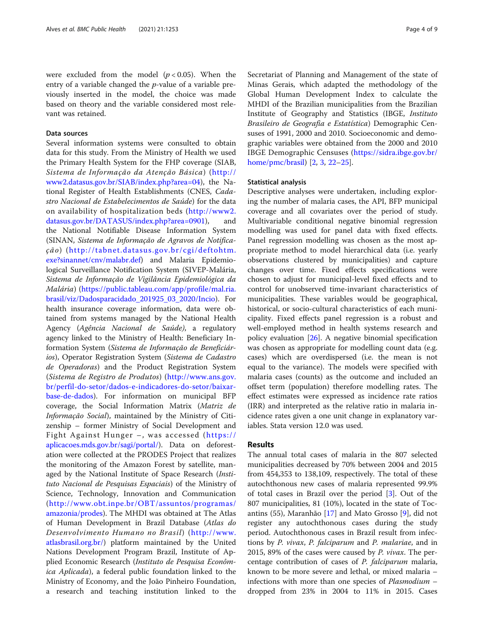were excluded from the model  $(p < 0.05)$ . When the entry of a variable changed the p-value of a variable previously inserted in the model, the choice was made based on theory and the variable considered most relevant was retained.

# Data sources

Several information systems were consulted to obtain data for this study. From the Ministry of Health we used the Primary Health System for the FHP coverage (SIAB, Sistema de Informação da Atenção Básica) ([http://](http://www2.datasus.gov.br/SIAB/index.php?area=04;) [www2.datasus.gov.br/SIAB/index.php?area=04\)](http://www2.datasus.gov.br/SIAB/index.php?area=04;), the National Register of Health Establishments (CNES, Cadastro Nacional de Estabelecimentos de Saúde) for the data on availability of hospitalization beds ([http://www2.](http://www2.datasus.gov.br/DATASUS/index.php?area=0901;) [datasus.gov.br/DATASUS/index.php?area=0901](http://www2.datasus.gov.br/DATASUS/index.php?area=0901;)), and the National Notifiable Disease Information System (SINAN, Sistema de Informação de Agravos de Notificação) ([http://tabnet.datasus.gov.br/cgi/deftohtm.](http://tabnet.datasus.gov.br/cgi/deftohtm.exe?sinannet/cnv/malabr.def;) [exe?sinannet/cnv/malabr.def](http://tabnet.datasus.gov.br/cgi/deftohtm.exe?sinannet/cnv/malabr.def;)) and Malaria Epidemiological Surveillance Notification System (SIVEP-Malária, Sistema de Informação de Vigilância Epidemiológica da Malária) [\(https://public.tableau.com/app/profile/mal.ria.](https://public.tableau.com/app/profile/mal.ria.brasil/viz/Dadosparacidado_201925_03_2020/Incio;) [brasil/viz/Dadosparacidado\\_201925\\_03\\_2020/Incio\)](https://public.tableau.com/app/profile/mal.ria.brasil/viz/Dadosparacidado_201925_03_2020/Incio;). For health insurance coverage information, data were obtained from systems managed by the National Health Agency (Agência Nacional de Saúde), a regulatory agency linked to the Ministry of Health: Beneficiary Information System (Sistema de Informação de Beneficiários), Operator Registration System (Sistema de Cadastro de Operadoras) and the Product Registration System (Sistema de Registro de Produtos) ([http://www.ans.gov.](http://www.ans.gov.br/perfil-do-setor/dados-e-indicadores-do-setor/baixar-base-de-dados;) [br/perfil-do-setor/dados-e-indicadores-do-setor/baixar](http://www.ans.gov.br/perfil-do-setor/dados-e-indicadores-do-setor/baixar-base-de-dados;)[base-de-dados\)](http://www.ans.gov.br/perfil-do-setor/dados-e-indicadores-do-setor/baixar-base-de-dados;). For information on municipal BFP coverage, the Social Information Matrix (Matriz de Informação Social), maintained by the Ministry of Citizenship – former Ministry of Social Development and Fight Against Hunger –, was accessed ([https://](https://aplicacoes.mds.gov.br/sagi/portal/;) [aplicacoes.mds.gov.br/sagi/portal/\)](https://aplicacoes.mds.gov.br/sagi/portal/;). Data on deforestation were collected at the PRODES Project that realizes the monitoring of the Amazon Forest by satellite, managed by the National Institute of Space Research (Instituto Nacional de Pesquisas Espaciais) of the Ministry of Science, Technology, Innovation and Communication ([http://www.obt.inpe.br/OBT/assuntos/programas/](http://www.obt.inpe.br/OBT/assuntos/programas/amazonia/prodes;) [amazonia/prodes](http://www.obt.inpe.br/OBT/assuntos/programas/amazonia/prodes;)). The MHDI was obtained at The Atlas of Human Development in Brazil Database (Atlas do Desenvolvimento Humano no Brasil) ([http://www.](http://www.atlasbrasil.org.br/;) [atlasbrasil.org.br/](http://www.atlasbrasil.org.br/;)) platform maintained by the United Nations Development Program Brazil, Institute of Applied Economic Research (Instituto de Pesquisa Econômica Aplicada), a federal public foundation linked to the Ministry of Economy, and the João Pinheiro Foundation, a research and teaching institution linked to the

Secretariat of Planning and Management of the state of Minas Gerais, which adapted the methodology of the Global Human Development Index to calculate the MHDI of the Brazilian municipalities from the Brazilian Institute of Geography and Statistics (IBGE, Instituto Brasileiro de Geografia e Estatística) Demographic Censuses of 1991, 2000 and 2010. Socioeconomic and demographic variables were obtained from the 2000 and 2010 IBGE Demographic Censuses [\(https://sidra.ibge.gov.br/](https://sidra.ibge.gov.br/home/pmc/brasil) [home/pmc/brasil\)](https://sidra.ibge.gov.br/home/pmc/brasil) [\[2,](#page-7-0) [3,](#page-7-0) [22](#page-8-0)–[25\]](#page-8-0).

### Statistical analysis

Descriptive analyses were undertaken, including exploring the number of malaria cases, the API, BFP municipal coverage and all covariates over the period of study. Multivariable conditional negative binomial regression modelling was used for panel data with fixed effects. Panel regression modelling was chosen as the most appropriate method to model hierarchical data (i.e. yearly observations clustered by municipalities) and capture changes over time. Fixed effects specifications were chosen to adjust for municipal-level fixed effects and to control for unobserved time-invariant characteristics of municipalities. These variables would be geographical, historical, or socio-cultural characteristics of each municipality. Fixed effects panel regression is a robust and well-employed method in health systems research and policy evaluation [\[26](#page-8-0)]. A negative binomial specification was chosen as appropriate for modelling count data (e.g. cases) which are overdispersed (i.e. the mean is not equal to the variance). The models were specified with malaria cases (counts) as the outcome and included an offset term (population) therefore modelling rates. The effect estimates were expressed as incidence rate ratios (IRR) and interpreted as the relative ratio in malaria incidence rates given a one unit change in explanatory variables. Stata version 12.0 was used.

### Results

The annual total cases of malaria in the 807 selected municipalities decreased by 70% between 2004 and 2015 from 454,353 to 138,109, respectively. The total of these autochthonous new cases of malaria represented 99.9% of total cases in Brazil over the period [\[3](#page-7-0)]. Out of the 807 municipalities, 81 (10%), located in the state of Tocantins (55), Maranhão [[17\]](#page-8-0) and Mato Grosso [[9\]](#page-7-0), did not register any autochthonous cases during the study period. Autochthonous cases in Brazil result from infections by P. vivax, P. falciparum and P. malariae, and in 2015, 89% of the cases were caused by  $P$ . vivax. The percentage contribution of cases of P. falciparum malaria, known to be more severe and lethal, or mixed malaria – infections with more than one species of Plasmodium – dropped from 23% in 2004 to 11% in 2015. Cases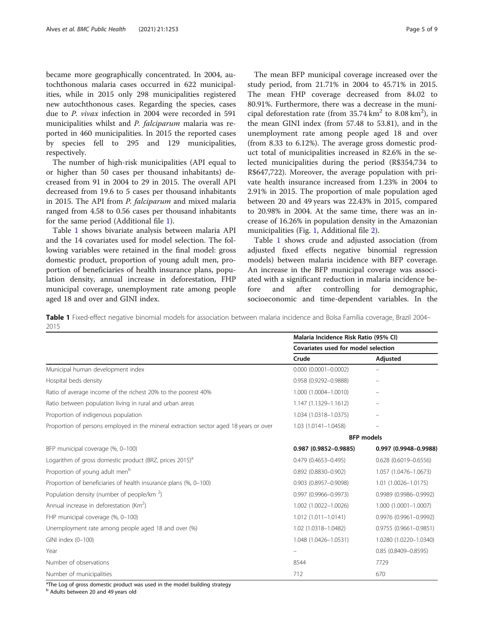became more geographically concentrated. In 2004, autochthonous malaria cases occurred in 622 municipalities, while in 2015 only 298 municipalities registered new autochthonous cases. Regarding the species, cases due to P. vivax infection in 2004 were recorded in 591 municipalities whilst and P. falciparum malaria was reported in 460 municipalities. In 2015 the reported cases by species fell to 295 and 129 municipalities, respectively.

The number of high-risk municipalities (API equal to or higher than 50 cases per thousand inhabitants) decreased from 91 in 2004 to 29 in 2015. The overall API decreased from 19.6 to 5 cases per thousand inhabitants in 2015. The API from P. falciparum and mixed malaria ranged from 4.58 to 0.56 cases per thousand inhabitants for the same period (Additional file [1](#page-7-0)).

Table 1 shows bivariate analysis between malaria API and the 14 covariates used for model selection. The following variables were retained in the final model: gross domestic product, proportion of young adult men, proportion of beneficiaries of health insurance plans, population density, annual increase in deforestation, FHP municipal coverage, unemployment rate among people aged 18 and over and GINI index.

The mean BFP municipal coverage increased over the study period, from 21.71% in 2004 to 45.71% in 2015. The mean FHP coverage decreased from 84.02 to 80.91%. Furthermore, there was a decrease in the municipal deforestation rate (from  $35.74 \text{ km}^2$  to  $8.08 \text{ km}^2$ ), in the mean GINI index (from 57.48 to 53.81), and in the unemployment rate among people aged 18 and over (from 8.33 to 6.12%). The average gross domestic product total of municipalities increased in 82.6% in the selected municipalities during the period (R\$354,734 to R\$647,722). Moreover, the average population with private health insurance increased from 1.23% in 2004 to 2.91% in 2015. The proportion of male population aged between 20 and 49 years was 22.43% in 2015, compared to 20.98% in 2004. At the same time, there was an increase of 16.26% in population density in the Amazonian municipalities (Fig. [1](#page-5-0), Additional file [2\)](#page-7-0).

Table 1 shows crude and adjusted association (from adjusted fixed effects negative binomial regression models) between malaria incidence with BFP coverage. An increase in the BFP municipal coverage was associated with a significant reduction in malaria incidence before and after controlling for demographic, socioeconomic and time-dependent variables. In the

Table 1 Fixed-effect negative binomial models for association between malaria incidence and Bolsa Família coverage, Brazil 2004– 2015

|                                                                                       | Malaria Incidence Risk Ratio (95% CI)<br>Covariates used for model selection |                         |
|---------------------------------------------------------------------------------------|------------------------------------------------------------------------------|-------------------------|
|                                                                                       |                                                                              |                         |
|                                                                                       | Crude                                                                        | Adjusted                |
| Municipal human development index                                                     | $0.000$ $(0.0001 - 0.0002)$                                                  |                         |
| Hospital beds density                                                                 | 0.958 (0.9292-0.9888)                                                        |                         |
| Ratio of average income of the richest 20% to the poorest 40%                         | 1.000 (1.0004-1.0010)                                                        |                         |
| Ratio between population living in rural and urban areas                              | 1.147 (1.1329-1.1612)                                                        |                         |
| Proportion of indigenous population                                                   | 1.034 (1.0318-1.0375)                                                        |                         |
| Proportion of persons employed in the mineral extraction sector aged 18 years or over | 1.03 (1.0141-1.0458)                                                         |                         |
|                                                                                       | <b>BFP</b> models                                                            |                         |
| BFP municipal coverage (%, 0-100)                                                     | 0.987 (0.9852-0.9885)                                                        | 0.997 (0.9948-0.9988)   |
| Logarithm of gross domestic product (BRZ, prices 2015) <sup>a</sup>                   | 0.479 (0.4653-0.495)                                                         | 0.628 (0.6019-0.6556)   |
| Proportion of young adult men <sup>b</sup>                                            | $0.892(0.8830 - 0.902)$                                                      | 1.057 (1.0476-1.0673)   |
| Proportion of beneficiaries of health insurance plans (%, 0-100)                      | 0.903 (0.8957-0.9098)                                                        | 1.01 (1.0026-1.0175)    |
| Population density (number of people/km $2$ )                                         | 0.997 (0.9966-0.9973)                                                        | 0.9989 (0.9986-0.9992)  |
| Annual increase in deforestation (Km <sup>2</sup> )                                   | 1.002 (1.0022-1.0026)                                                        | 1.000 (1.0001-1.0007)   |
| FHP municipal coverage (%, 0-100)                                                     | $1.012(1.011 - 1.0141)$                                                      | 0.9976 (0.9961-0.9992)  |
| Unemployment rate among people aged 18 and over (%)                                   | 1.02 (1.0318-1.0482)                                                         | 0.9755 (0.9661-0.9851)  |
| GINI index (0-100)                                                                    | 1.048 (1.0426-1.0531)                                                        | 1.0280 (1.0220-1.0340)  |
| Year                                                                                  | $\overline{\phantom{0}}$                                                     | $0.85(0.8409 - 0.8595)$ |
| Number of observations                                                                | 8544                                                                         | 7729                    |
| Number of municipalities                                                              | 712                                                                          | 670                     |

<sup>a</sup>The Log of gross domestic product was used in the model building strategy

<sup>b</sup> Adults between 20 and 49 years old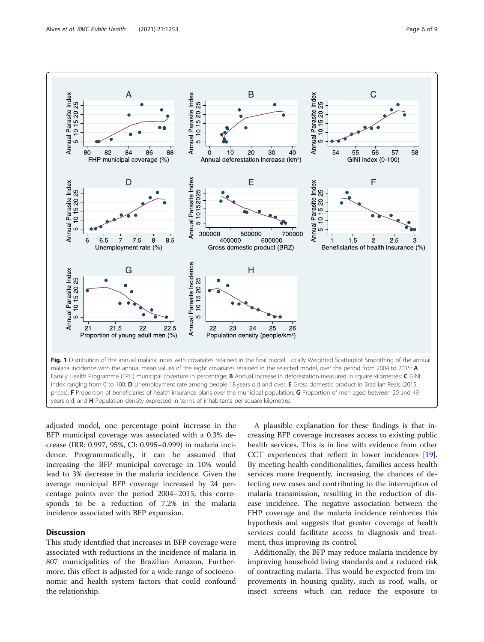<span id="page-5-0"></span>

adjusted model, one percentage point increase in the BFP municipal coverage was associated with a 0.3% decrease (IRR: 0.997, 95%, CI: 0.995–0.999) in malaria incidence. Programmatically, it can be assumed that increasing the BFP municipal coverage in 10% would lead to 3% decrease in the malaria incidence. Given the average municipal BFP coverage increased by 24 percentage points over the period 2004–2015, this corresponds to be a reduction of 7.2% in the malaria incidence associated with BFP expansion.

# **Discussion**

This study identified that increases in BFP coverage were associated with reductions in the incidence of malaria in 807 municipalities of the Brazilian Amazon. Furthermore, this effect is adjusted for a wide range of socioeconomic and health system factors that could confound the relationship.

A plausible explanation for these findings is that increasing BFP coverage increases access to existing public health services. This is in line with evidence from other CCT experiences that reflect in lower incidences [\[19](#page-8-0)]. By meeting health conditionalities, families access health services more frequently, increasing the chances of detecting new cases and contributing to the interruption of malaria transmission, resulting in the reduction of disease incidence. The negative association between the FHP coverage and the malaria incidence reinforces this hypothesis and suggests that greater coverage of health services could facilitate access to diagnosis and treatment, thus improving its control.

Additionally, the BFP may reduce malaria incidence by improving household living standards and a reduced risk of contracting malaria. This would be expected from improvements in housing quality, such as roof, walls, or insect screens which can reduce the exposure to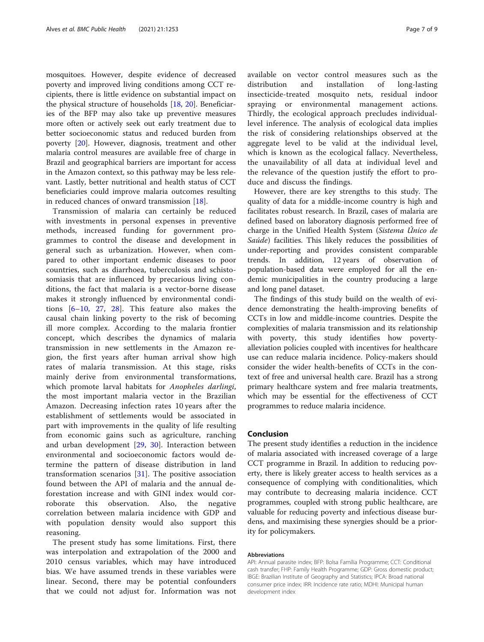mosquitoes. However, despite evidence of decreased poverty and improved living conditions among CCT recipients, there is little evidence on substantial impact on the physical structure of households [[18,](#page-8-0) [20\]](#page-8-0). Beneficiaries of the BFP may also take up preventive measures more often or actively seek out early treatment due to better socioeconomic status and reduced burden from poverty [\[20](#page-8-0)]. However, diagnosis, treatment and other malaria control measures are available free of charge in Brazil and geographical barriers are important for access in the Amazon context, so this pathway may be less relevant. Lastly, better nutritional and health status of CCT beneficiaries could improve malaria outcomes resulting in reduced chances of onward transmission [[18\]](#page-8-0).

Transmission of malaria can certainly be reduced with investments in personal expenses in preventive methods, increased funding for government programmes to control the disease and development in general such as urbanization. However, when compared to other important endemic diseases to poor countries, such as diarrhoea, tuberculosis and schistosomiasis that are influenced by precarious living conditions, the fact that malaria is a vector-borne disease makes it strongly influenced by environmental conditions [\[6](#page-7-0)–[10,](#page-7-0) [27,](#page-8-0) [28](#page-8-0)]. This feature also makes the causal chain linking poverty to the risk of becoming ill more complex. According to the malaria frontier concept, which describes the dynamics of malaria transmission in new settlements in the Amazon region, the first years after human arrival show high rates of malaria transmission. At this stage, risks mainly derive from environmental transformations, which promote larval habitats for Anopheles darlingi, the most important malaria vector in the Brazilian Amazon. Decreasing infection rates 10 years after the establishment of settlements would be associated in part with improvements in the quality of life resulting from economic gains such as agriculture, ranching and urban development [[29,](#page-8-0) [30\]](#page-8-0). Interaction between environmental and socioeconomic factors would determine the pattern of disease distribution in land transformation scenarios [[31\]](#page-8-0). The positive association found between the API of malaria and the annual deforestation increase and with GINI index would corroborate this observation. Also, the negative correlation between malaria incidence with GDP and with population density would also support this reasoning.

The present study has some limitations. First, there was interpolation and extrapolation of the 2000 and 2010 census variables, which may have introduced bias. We have assumed trends in these variables were linear. Second, there may be potential confounders that we could not adjust for. Information was not

available on vector control measures such as the distribution and installation of long-lasting insecticide-treated mosquito nets, residual indoor spraying or environmental management actions. Thirdly, the ecological approach precludes individuallevel inference. The analysis of ecological data implies the risk of considering relationships observed at the aggregate level to be valid at the individual level, which is known as the ecological fallacy. Nevertheless, the unavailability of all data at individual level and the relevance of the question justify the effort to produce and discuss the findings.

However, there are key strengths to this study. The quality of data for a middle-income country is high and facilitates robust research. In Brazil, cases of malaria are defined based on laboratory diagnosis performed free of charge in the Unified Health System (Sistema Único de Saúde) facilities. This likely reduces the possibilities of under-reporting and provides consistent comparable trends. In addition, 12 years of observation of population-based data were employed for all the endemic municipalities in the country producing a large and long panel dataset.

The findings of this study build on the wealth of evidence demonstrating the health-improving benefits of CCTs in low and middle-income countries. Despite the complexities of malaria transmission and its relationship with poverty, this study identifies how povertyalleviation policies coupled with incentives for healthcare use can reduce malaria incidence. Policy-makers should consider the wider health-benefits of CCTs in the context of free and universal health care. Brazil has a strong primary healthcare system and free malaria treatments, which may be essential for the effectiveness of CCT programmes to reduce malaria incidence.

# Conclusion

The present study identifies a reduction in the incidence of malaria associated with increased coverage of a large CCT programme in Brazil. In addition to reducing poverty, there is likely greater access to health services as a consequence of complying with conditionalities, which may contribute to decreasing malaria incidence. CCT programmes, coupled with strong public healthcare, are valuable for reducing poverty and infectious disease burdens, and maximising these synergies should be a priority for policymakers.

#### Abbreviations

API: Annual parasite index; BFP: Bolsa Família Programme; CCT: Conditional cash transfer; FHP: Family Health Programme; GDP: Gross domestic product; IBGE: Brazilian Institute of Geography and Statistics; IPCA: Broad national consumer price index; IRR: Incidence rate ratio; MDHI: Municipal human development index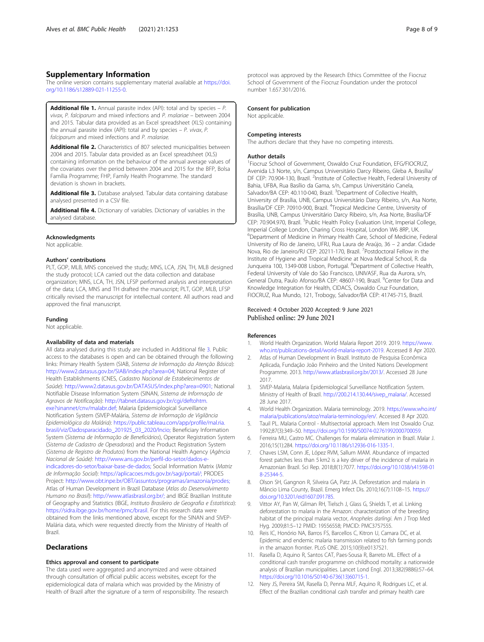# <span id="page-7-0"></span>Supplementary Information

The online version contains supplementary material available at [https://doi.](https://doi.org/10.1186/s12889-021-11255-0) [org/10.1186/s12889-021-11255-0.](https://doi.org/10.1186/s12889-021-11255-0)

**Additional file 1.** Annual parasite index (API): total and by species  $- P$ . vivax, P. falciparum and mixed infections and P. malariae – between 2004 and 2015. Tabular data provided as an Excel spreadsheet (XLS) containing the annual parasite index (API): total and by species  $- P$ . vivax, P. falciparum and mixed infections and P. malariae.

Additional file 2. Characteristics of 807 selected municipalities between 2004 and 2015. Tabular data provided as an Excel spreadsheet (XLS) containing information on the behaviour of the annual average values of the covariates over the period between 2004 and 2015 for the BFP, Bolsa Família Programme; FHP, Family Health Programme. The standard deviation is shown in brackets.

Additional file 3. Database analysed. Tabular data containing database analysed presented in a CSV file.

Additional file 4. Dictionary of variables. Dictionary of variables in the analysed database.

#### Acknowledgments

Not applicable.

# Authors' contributions

PLT, GOP, MLB, MNS conceived the study; MNS, LCA, JSN, TH, MLB designed the study protocol; LCA carried out the data collection and database organization; MNS, LCA, TH, JSN, LFSP performed analysis and interpretation of the data; LCA, MNS and TH drafted the manuscript; PLT, GOP, MLB, LFSP critically revised the manuscript for intellectual content. All authors read and approved the final manuscript.

#### Funding

Not applicable.

#### Availability of data and materials

All data analysed during this study are included in Additional file 3. Public access to the databases is open and can be obtained through the following links: Primary Health System (SIAB, Sistema de Informação da Atenção Básica): <http://www2.datasus.gov.br/SIAB/index.php?area=04;> National Register of Health Establishments (CNES, Cadastro Nacional de Estabelecimentos de Saúde): <http://www2.datasus.gov.br/DATASUS/index.php?area=0901;> National Notifiable Disease Information System (SINAN, Sistema de Informação de Agravos de Notificação): [http://tabnet.datasus.gov.br/cgi/deftohtm.](http://tabnet.datasus.gov.br/cgi/deftohtm.exe?sinannet/cnv/malabr.def;) [exe?sinannet/cnv/malabr.def;](http://tabnet.datasus.gov.br/cgi/deftohtm.exe?sinannet/cnv/malabr.def;) Malaria Epidemiological Surveillance Notification System (SIVEP-Malária, Sistema de Informação de Vigilância Epidemiológica da Malária): [https://public.tableau.com/app/profile/mal.ria.](https://public.tableau.com/app/profile/mal.ria.brasil/viz/Dadosparacidado_201925_03_2020/Incio;) [brasil/viz/Dadosparacidado\\_201925\\_03\\_2020/Incio;](https://public.tableau.com/app/profile/mal.ria.brasil/viz/Dadosparacidado_201925_03_2020/Incio;) Beneficiary Information System (Sistema de Informação de Beneficiários), Operator Registration System (Sistema de Cadastro de Operadoras) and the Product Registration System (Sistema de Registro de Produtos) from the National Health Agency (Agência Nacional de Saúde): [http://www.ans.gov.br/perfil-do-setor/dados-e](http://www.ans.gov.br/perfil-do-setor/dados-e-indicadores-do-setor/baixar-base-de-dados;)[indicadores-do-setor/baixar-base-de-dados;](http://www.ans.gov.br/perfil-do-setor/dados-e-indicadores-do-setor/baixar-base-de-dados;) Social Information Matrix (Matriz de Informação Social): <https://aplicacoes.mds.gov.br/sagi/portal/;> PRODES Project: <http://www.obt.inpe.br/OBT/assuntos/programas/amazonia/prodes;> Atlas of Human Development in Brazil Database (Atlas do Desenvolvimento Humano no Brasil): <http://www.atlasbrasil.org.br/;> and IBGE Brazilian Institute of Geography and Statistics (IBGE, Instituto Brasileiro de Geografia e Estatística): <https://sidra.ibge.gov.br/home/pmc/brasil>. For this research data were obtained from the links mentioned above, except for the SINAN and SIVEP-Malária data, which were requested directly from the Ministry of Health of Brazil.

# **Declarations**

#### Ethics approval and consent to participate

The data used were aggregated and anonymized and were obtained through consultation of official public access websites, except for the epidemiological data of malaria which was provided by the Ministry of Health of Brazil after the signature of a term of responsibility. The research

### Consent for publication

Not applicable.

#### Competing interests

The authors declare that they have no competing interests.

#### Author details

1 Fiocruz School of Government, Oswaldo Cruz Foundation, EFG/FIOCRUZ, Avenida L3 Norte, s/n, Campus Universitário Darcy Ribeiro, Gleba A, Brasília/ DF CEP: 70.904-130, Brazil. <sup>2</sup>Institute of Collective Health, Federal University of Bahia, UFBA, Rua Basílio da Gama, s/n, Campus Universitário Canela, Salvador/BA CEP: 40.110-040, Brazil. <sup>3</sup>Department of Collective Health, University of Brasília, UNB, Campus Universitário Darcy Ribeiro, s/n, Asa Norte, Brasília/DF CEP: 70910-900, Brazil. <sup>4</sup>Tropical Medicine Centre, University of Brasília, UNB, Campus Universitário Darcy Ribeiro, s/n, Asa Norte, Brasília/DF CEP: 70.904.970, Brazil. <sup>5</sup>Public Health Policy Evaluation Unit, Imperial College Imperial College London, Charing Cross Hospital, London W6 8RP, UK. 6 Department of Medicine in Primary Health Care, School of Medicine, Federal University of Rio de Janeiro, UFRJ, Rua Laura de Araújo, 36 – 2 andar. Cidade Nova, Rio de Janeiro/RJ CEP: 20211-170, Brazil. <sup>7</sup>Postdoctoral Fellow in the Institute of Hygiene and Tropical Medicine at Nova Medical School, R. da Junqueira 100, 1349-008 Lisbon, Portugal. <sup>8</sup>Department of Collective Health Federal University of Vale do São Francisco, UNIVASF, Rua da Aurora, s/n, General Dutra, Paulo Afonso/BA CEP: 48607-190, Brazil. <sup>9</sup>Center for Data and Knowledge Integration for Health, CIDACS, Oswaldo Cruz Foundation, FIOCRUZ, Rua Mundo, 121, Trobogy, Salvador/BA CEP: 41745-715, Brazil.

# Received: 4 October 2020 Accepted: 9 June 2021

#### References

- 1. World Health Organization. World Malaria Report 2019. 2019. [https://www.](https://www.who.int/publications-detail/world-malaria-report-2019) [who.int/publications-detail/world-malaria-report-2019](https://www.who.int/publications-detail/world-malaria-report-2019). Accessed 8 Apr 2020.
- 2. Atlas of Human Development in Brazil. Instituto de Pesquisa Econômica Aplicada, Fundação João Pinheiro and the United Nations Development Programme. 2013. <http://www.atlasbrasil.org.br/2013/>. Accessed 28 June 2017.
- 3. SIVEP-Malaria, Malaria Epidemiological Surveillance Notification System. Ministry of Health of Brazil. [http://200.214.130.44/sivep\\_malaria/.](http://200.214.130.44/sivep_malaria/) Accessed 28 June 2017.
- 4. World Health Organization. Malaria terminology. 2019. [https://www.who.int/](https://www.who.int/malaria/publications/atoz/malaria-terminology/en/) [malaria/publications/atoz/malaria-terminology/en/](https://www.who.int/malaria/publications/atoz/malaria-terminology/en/). Accessed 8 Apr 2020.
- Tauil PL. Malaria Control Multisectorial approach. Mem Inst Oswaldo Cruz. 1992;87(3):349–50. [https://doi.org/10.1590/S0074-02761992000700059.](https://doi.org/10.1590/S0074-02761992000700059)
- 6. Ferreira MU, Castro MC. Challenges for malaria elimination in Brazil. Malar J. 2016;15(1):284. [https://doi.org/10.1186/s12936-016-1335-1.](https://doi.org/10.1186/s12936-016-1335-1)
- 7. Chaves LSM, Conn JE, López RVM, Sallum MAM. Abundance of impacted forest patches less than 5 km2 is a key driver of the incidence of malaria in Amazonian Brazil. Sci Rep. 2018;8(1):7077. [https://doi.org/10.1038/s41598-01](https://doi.org/10.1038/s41598-018-25344-5) [8-25344-5.](https://doi.org/10.1038/s41598-018-25344-5)
- Olson SH, Gangnon R, Silveira GA, Patz JA. Deforestation and malaria in Mâncio Lima County, Brazil. Emerg Infect Dis. 2010;16(7):1108–15. [https://](https://doi.org/10.3201/eid1607.091785) [doi.org/10.3201/eid1607.091785](https://doi.org/10.3201/eid1607.091785).
- 9. Vittor AY, Pan W, Gilman RH, Tielsch J, Glass G, Shields T, et al. Linking deforestation to malaria in the Amazon: characterization of the breeding habitat of the principal malaria vector, Anopheles darlingi. Am J Trop Med Hyg. 2009;81:5–12 PMID: 19556558; PMCID: PMC3757555.
- 10. Reis IC, Honório NA, Barros FS, Barcellos C, Kitron U, Camara DC, et al. Epidemic and endemic malaria transmission related to fish farming ponds in the amazon frontier. PLoS ONE. 2015;10(9):e0137521.
- 11. Rasella D, Aquino R, Santos CAT, Paes-Sousa R, Barreto ML. Effect of a conditional cash transfer programme on childhood mortality: a nationwide analysis of Brazilian municipalities. Lancet Lond Engl. 2013;382(9886):57–64. [https://doi.org/10.1016/S0140-6736\(13\)60715-1.](https://doi.org/10.1016/S0140-6736(13)60715-1)
- 12. Nery JS, Pereira SM, Rasella D, Penna MLF, Aquino R, Rodrigues LC, et al. Effect of the Brazilian conditional cash transfer and primary health care